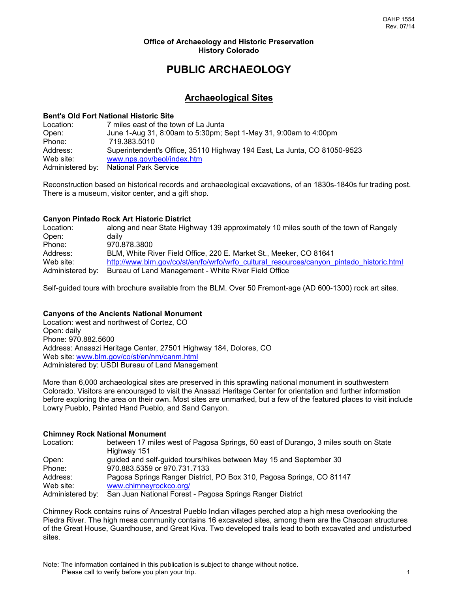#### **Office of Archaeology and Historic Preservation History Colorado**

# **PUBLIC ARCHAEOLOGY**

# **Archaeological Sites**

### **Bent's Old Fort National Historic Site**

Location: 7 miles east of the town of La Junta Open: June 1-Aug 31, 8:00am to 5:30pm; Sept 1-May 31, 9:00am to 4:00pm Phone: 719.383.5010 Address: Superintendent's Office, 35110 Highway 194 East, La Junta, CO 81050-9523 Web site: www.nps.gov/beol/index.htm Administered by: National Park Service

Reconstruction based on historical records and archaeological excavations, of an 1830s-1840s fur trading post. There is a museum, visitor center, and a gift shop.

# **Canyon Pintado Rock Art Historic District**

Location: along and near State Highway 139 approximately 10 miles south of the town of Rangely Open: daily Phone: 970.878.3800 Address: BLM, White River Field Office, 220 E. Market St., Meeker, CO 81641 Web site: [http://www.blm.gov/co/st/en/fo/wrfo/wrfo\\_cultural\\_resources/canyon\\_pintado\\_historic.html](http://www.blm.gov/co/st/en/fo/wrfo/wrfo_cultural_resources/canyon_pintado_historic.html) Administered by: Bureau of Land Management - White River Field Office

Self-guided tours with brochure available from the BLM. Over 50 Fremont-age (AD 600-1300) rock art sites.

# **Canyons of the Ancients National Monument**

Location: west and northwest of Cortez, CO Open: daily Phone: 970.882.5600 Address: Anasazi Heritage Center, 27501 Highway 184, Dolores, CO Web site:<www.blm.gov/co/st/en/nm/canm.html> Administered by: USDI Bureau of Land Management

More than 6,000 archaeological sites are preserved in this sprawling national monument in southwestern Colorado. Visitors are encouraged to visit the Anasazi Heritage Center for orientation and further information before exploring the area on their own. Most sites are unmarked, but a few of the featured places to visit include Lowry Pueblo, Painted Hand Pueblo, and Sand Canyon.

#### **Chimney Rock National Monument**

| Location:        | between 17 miles west of Pagosa Springs, 50 east of Durango, 3 miles south on State |
|------------------|-------------------------------------------------------------------------------------|
|                  | Highway 151                                                                         |
| Open:            | guided and self-guided tours/hikes between May 15 and September 30                  |
| Phone:           | 970.883.5359 or 970.731.7133                                                        |
| Address:         | Pagosa Springs Ranger District, PO Box 310, Pagosa Springs, CO 81147                |
| Web site:        | www.chimneyrockco.org/                                                              |
| Administered by: | San Juan National Forest - Pagosa Springs Ranger District                           |

Chimney Rock contains ruins of Ancestral Pueblo Indian villages perched atop a high mesa overlooking the Piedra River. The high mesa community contains 16 excavated sites, among them are the Chacoan structures of the Great House, Guardhouse, and Great Kiva. Two developed trails lead to both excavated and undisturbed sites.

Note: The information contained in this publication is subject to change without notice. Please call to verify before you plan your trip. 1 1 1 1 2 2 3 4 4 4 5 6 7 7 1 2 3 4 5 7 7 7 7 1 2 3 4 7 7 7 8 7 7 1 2 3 4 7 7 8 7 7 8 7 7 8 7 7 8 7 7 8 7 7 8 7 7 8 7 7 8 7 7 8 7 7 8 7 7 8 7 7 8 7 7 8 7 7 8 7 7 8 7 7 8 7 7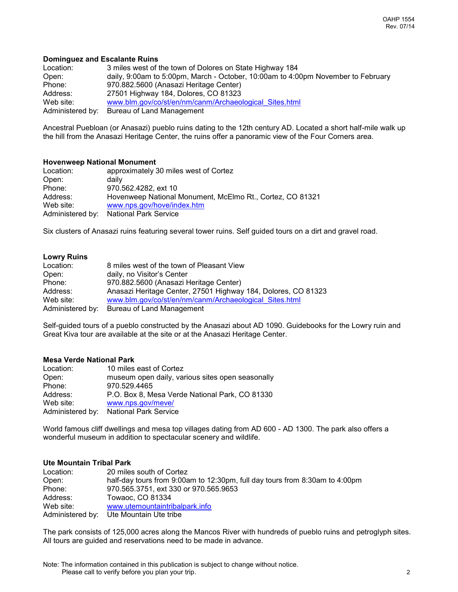#### **Dominguez and Escalante Ruins**

Location: 3 miles west of the town of Dolores on State Highway 184 Open: daily, 9:00am to 5:00pm, March - October, 10:00am to 4:00pm November to February Phone: 970.882.5600 (Anasazi Heritage Center) Address: 27501 Highway 184, Dolores, CO 81323 Web site: [www.blm.gov/co/st/en/nm/canm/Archaeological\\_Sites.html](file:///E:/www.blm.gov/co/st/en/nm/canm/Archaeological_Sites.html) Administered by: Bureau of Land Management

Ancestral Puebloan (or Anasazi) pueblo ruins dating to the 12th century AD. Located a short half-mile walk up the hill from the Anasazi Heritage Center, the ruins offer a panoramic view of the Four Corners area.

#### **Hovenweep National Monument**

| Location: | approximately 30 miles west of Cortez                     |
|-----------|-----------------------------------------------------------|
| Open:     | daily                                                     |
| Phone:    | 970.562.4282, ext 10                                      |
| Address:  | Hovenweep National Monument, McElmo Rt., Cortez, CO 81321 |
| Web site: | www.nps.gov/hove/index.htm                                |
|           | Administered by: National Park Service                    |

Six clusters of Anasazi ruins featuring several tower ruins. Self guided tours on a dirt and gravel road.

#### **Lowry Ruins**

| Location:        | 8 miles west of the town of Pleasant View                     |
|------------------|---------------------------------------------------------------|
| Open:            | daily, no Visitor's Center                                    |
| Phone:           | 970.882.5600 (Anasazi Heritage Center)                        |
| Address:         | Anasazi Heritage Center, 27501 Highway 184, Dolores, CO 81323 |
| Web site:        | www.blm.gov/co/st/en/nm/canm/Archaeological Sites.html        |
| Administered by: | Bureau of Land Management                                     |

Self-guided tours of a pueblo constructed by the Anasazi about AD 1090. Guidebooks for the Lowry ruin and Great Kiva tour are available at the site or at the Anasazi Heritage Center.

# **Mesa Verde National Park**

| Location:        | 10 miles east of Cortez                          |
|------------------|--------------------------------------------------|
| Open:            | museum open daily, various sites open seasonally |
| Phone:           | 970.529.4465                                     |
| Address:         | P.O. Box 8, Mesa Verde National Park, CO 81330   |
| Web site:        | www.nps.gov/meve/                                |
| Administered by: | <b>National Park Service</b>                     |

World famous cliff dwellings and mesa top villages dating from AD 600 - AD 1300. The park also offers a wonderful museum in addition to spectacular scenery and wildlife.

#### **Ute Mountain Tribal Park**

| Location: | 20 miles south of Cortez                                                    |
|-----------|-----------------------------------------------------------------------------|
| Open:     | half-day tours from 9:00am to 12:30pm, full day tours from 8:30am to 4:00pm |
| Phone:    | 970.565.3751, ext 330 or 970.565.9653                                       |
| Address:  | Towaoc, CO 81334                                                            |
| Web site: | www.utemountaintribalpark.info                                              |
|           | Administered by: Ute Mountain Ute tribe                                     |

The park consists of 125,000 acres along the Mancos River with hundreds of pueblo ruins and petroglyph sites. All tours are guided and reservations need to be made in advance.

Note: The information contained in this publication is subject to change without notice. Please call to verify before you plan your trip. 2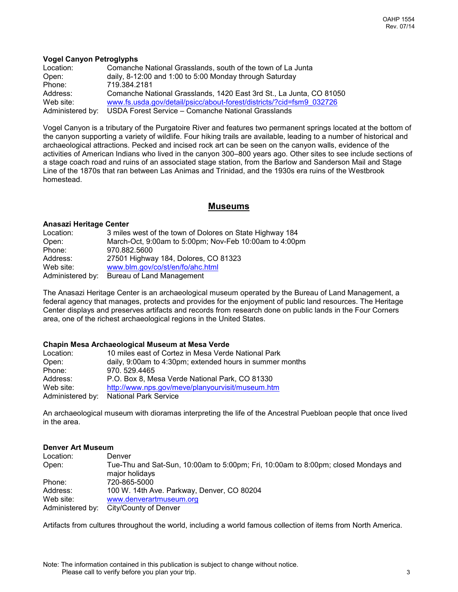#### **Vogel Canyon Petroglyphs**

| Location:        | Comanche National Grasslands, south of the town of La Junta          |
|------------------|----------------------------------------------------------------------|
| Open:            | daily, 8-12:00 and 1:00 to 5:00 Monday through Saturday              |
| Phone:           | 719.384.2181                                                         |
| Address:         | Comanche National Grasslands, 1420 East 3rd St., La Junta, CO 81050  |
| Web site:        | www.fs.usda.gov/detail/psicc/about-forest/districts/?cid=fsm9_032726 |
| Administered by: | USDA Forest Service – Comanche National Grasslands                   |

Vogel Canyon is a tributary of the Purgatoire River and features two permanent springs located at the bottom of the canyon supporting a variety of wildlife. Four hiking trails are available, leading to a number of historical and archaeological attractions. Pecked and incised rock art can be seen on the canyon walls, evidence of the activities of American Indians who lived in the canyon 300–800 years ago. Other sites to see include sections of a stage coach road and ruins of an associated stage station, from the Barlow and Sanderson Mail and Stage Line of the 1870s that ran between Las Animas and Trinidad, and the 1930s era ruins of the Westbrook homestead.

# **Museums**

#### **Anasazi Heritage Center**

| Location: | 3 miles west of the town of Dolores on State Highway 184 |
|-----------|----------------------------------------------------------|
| Open:     | March-Oct, 9:00am to 5:00pm; Nov-Feb 10:00am to 4:00pm   |
| Phone:    | 970.882.5600                                             |
| Address:  | 27501 Highway 184, Dolores, CO 81323                     |
| Web site: | www.blm.gov/co/st/en/fo/ahc.html                         |
|           | Administered by: Bureau of Land Management               |

The Anasazi Heritage Center is an archaeological museum operated by the Bureau of Land Management, a federal agency that manages, protects and provides for the enjoyment of public land resources. The Heritage Center displays and preserves artifacts and records from research done on public lands in the Four Corners area, one of the richest archaeological regions in the United States.

#### **Chapin Mesa Archaeological Museum at Mesa Verde**

| Location:        | 10 miles east of Cortez in Mesa Verde National Park      |
|------------------|----------------------------------------------------------|
| Open:            | daily, 9:00am to 4:30pm; extended hours in summer months |
| Phone:           | 970. 529.4465                                            |
| Address:         | P.O. Box 8. Mesa Verde National Park. CO 81330           |
| Web site:        | http://www.nps.gov/meve/planyourvisit/museum.htm         |
| Administered by: | <b>National Park Service</b>                             |

An archaeological museum with dioramas interpreting the life of the Ancestral Puebloan people that once lived in the area.

#### **Denver Art Museum**

| Location:        | Denver                                                                             |
|------------------|------------------------------------------------------------------------------------|
| Open:            | Tue-Thu and Sat-Sun, 10:00am to 5:00pm; Fri, 10:00am to 8:00pm; closed Mondays and |
|                  | major holidays                                                                     |
| Phone:           | 720-865-5000                                                                       |
| Address:         | 100 W. 14th Ave. Parkway, Denver, CO 80204                                         |
| Web site:        | www.denverartmuseum.org                                                            |
| Administered by: | City/County of Denver                                                              |

Artifacts from cultures throughout the world, including a world famous collection of items from North America.

Note: The information contained in this publication is subject to change without notice. Please call to verify before you plan your trip.  $\frac{3}{2}$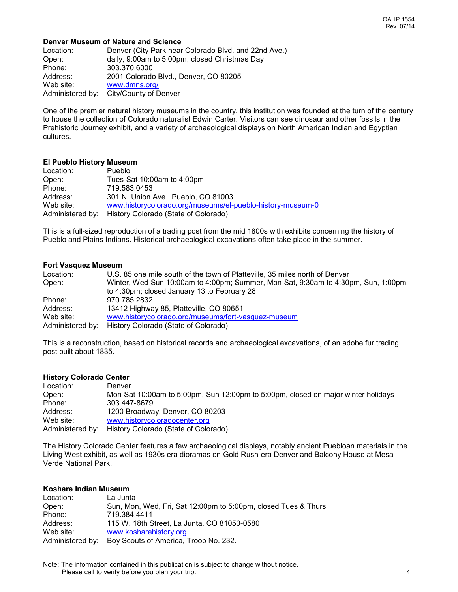#### **Denver Museum of Nature and Science**

| Location:        | Denver (City Park near Colorado Blvd. and 22nd Ave.) |
|------------------|------------------------------------------------------|
| Open:            | daily, 9:00am to 5:00pm; closed Christmas Day        |
| Phone:           | 303.370.6000                                         |
| Address:         | 2001 Colorado Blvd., Denver, CO 80205                |
| Web site:        | www.dmns.org/                                        |
| Administered by: | City/County of Denver                                |

One of the premier natural history museums in the country, this institution was founded at the turn of the century to house the collection of Colorado naturalist Edwin Carter. Visitors can see dinosaur and other fossils in the Prehistoric Journey exhibit, and a variety of archaeological displays on North American Indian and Egyptian cultures.

#### **El Pueblo History Museum**

| Location:        | Pueblo                                                     |
|------------------|------------------------------------------------------------|
| Open:            | Tues-Sat 10:00am to 4:00pm                                 |
| Phone:           | 719.583.0453                                               |
| Address:         | 301 N. Union Ave., Pueblo, CO 81003                        |
| Web site:        | www.historycolorado.org/museums/el-pueblo-history-museum-0 |
| Administered by: | History Colorado (State of Colorado)                       |

This is a full-sized reproduction of a trading post from the mid 1800s with exhibits concerning the history of Pueblo and Plains Indians. Historical archaeological excavations often take place in the summer.

#### **Fort Vasquez Museum**

| Location: | U.S. 85 one mile south of the town of Platteville, 35 miles north of Denver       |
|-----------|-----------------------------------------------------------------------------------|
| Open:     | Winter, Wed-Sun 10:00am to 4:00pm; Summer, Mon-Sat, 9:30am to 4:30pm, Sun, 1:00pm |
|           | to 4:30pm; closed January 13 to February 28                                       |
| Phone:    | 970.785.2832                                                                      |
| Address:  | 13412 Highway 85, Platteville, CO 80651                                           |
| Web site: | www.historycolorado.org/museums/fort-vasquez-museum                               |
|           | Administered by: History Colorado (State of Colorado)                             |

This is a reconstruction, based on historical records and archaeological excavations, of an adobe fur trading post built about 1835.

#### **History Colorado Center**

Location: Denver Open: Mon-Sat 10:00am to 5:00pm, Sun 12:00pm to 5:00pm, closed on major winter holidays Phone: 303.447-8679<br>Address: 1200 Broadwa 1200 Broadway, Denver, CO 80203 Web site: [www.historycoloradocenter.org](http://www.historycoloradocenter.org/) Administered by: History Colorado (State of Colorado)

The History Colorado Center features a few archaeological displays, notably ancient Puebloan materials in the Living West exhibit, as well as 1930s era dioramas on Gold Rush-era Denver and Balcony House at Mesa Verde National Park.

#### **Koshare Indian Museum**

| Location:        | La Junta                                                       |
|------------------|----------------------------------------------------------------|
| Open:            | Sun, Mon, Wed, Fri, Sat 12:00pm to 5:00pm, closed Tues & Thurs |
| Phone:           | 719.384.4411                                                   |
| Address:         | 115 W. 18th Street, La Junta, CO 81050-0580                    |
| Web site:        | www.kosharehistory.org                                         |
| Administered by: | Boy Scouts of America, Troop No. 232.                          |

Note: The information contained in this publication is subject to change without notice. Please call to verify before you plan your trip. 4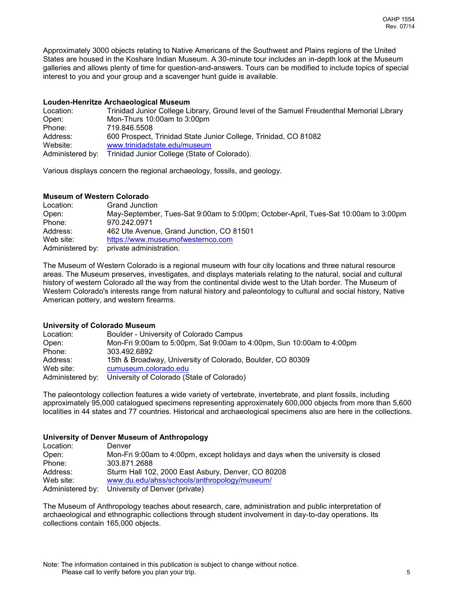Approximately 3000 objects relating to Native Americans of the Southwest and Plains regions of the United States are housed in the Koshare Indian Museum. A 30-minute tour includes an in-depth look at the Museum galleries and allows plenty of time for question-and-answers. Tours can be modified to include topics of special interest to you and your group and a scavenger hunt guide is available.

#### **Louden-Henritze Archaeological Museum**

| Location:        | Trinidad Junior College Library, Ground level of the Samuel Freudenthal Memorial Library |
|------------------|------------------------------------------------------------------------------------------|
| Open:            | Mon-Thurs 10:00am to 3:00pm                                                              |
| Phone:           | 719.846.5508                                                                             |
| Address:         | 600 Prospect, Trinidad State Junior College, Trinidad, CO 81082                          |
| Website:         | www.trinidadstate.edu/museum                                                             |
| Administered by: | Trinidad Junior College (State of Colorado).                                             |

Various displays concern the regional archaeology, fossils, and geology.

#### **Museum of Western Colorado**

| Location:        | <b>Grand Junction</b>                                                               |
|------------------|-------------------------------------------------------------------------------------|
| Open:            | May-September, Tues-Sat 9:00am to 5:00pm; October-April, Tues-Sat 10:00am to 3:00pm |
| Phone:           | 970.242.0971                                                                        |
| Address:         | 462 Ute Avenue, Grand Junction, CO 81501                                            |
| Web site:        | https://www.museumofwesternco.com                                                   |
| Administered by: | private administration.                                                             |

The Museum of Western Colorado is a regional museum with four city locations and three natural resource areas. The Museum preserves, investigates, and displays materials relating to the natural, social and cultural history of western Colorado all the way from the continental divide west to the Utah border. The Museum of Western Colorado's interests range from natural history and paleontology to cultural and social history, Native American pottery, and western firearms.

# **University of Colorado Museum**

| Boulder - University of Colorado Campus                               |
|-----------------------------------------------------------------------|
| Mon-Fri 9:00am to 5:00pm, Sat 9:00am to 4:00pm, Sun 10:00am to 4:00pm |
| 303.492.6892                                                          |
| 15th & Broadway, University of Colorado, Boulder, CO 80309            |
| cumuseum.colorado.edu                                                 |
| University of Colorado (State of Colorado)                            |
|                                                                       |

The paleontology collection features a wide variety of vertebrate, invertebrate, and plant fossils, including approximately 95,000 catalogued specimens representing approximately 600,000 objects from more than 5,600 localities in 44 states and 77 countries. Historical and archaeological specimens also are here in the collections.

# **University of Denver Museum of Anthropology**

| Location: | Denver                                                                           |
|-----------|----------------------------------------------------------------------------------|
| Open:     | Mon-Fri 9:00am to 4:00pm, except holidays and days when the university is closed |
| Phone:    | 303.871.2688                                                                     |
| Address:  | Sturm Hall 102, 2000 East Asbury, Denver, CO 80208                               |
| Web site: | www.du.edu/ahss/schools/anthropology/museum/                                     |
|           | Administered by: University of Denver (private)                                  |

The Museum of Anthropology teaches about research, care, administration and public interpretation of archaeological and ethnographic collections through student involvement in day-to-day operations. Its collections contain 165,000 objects.